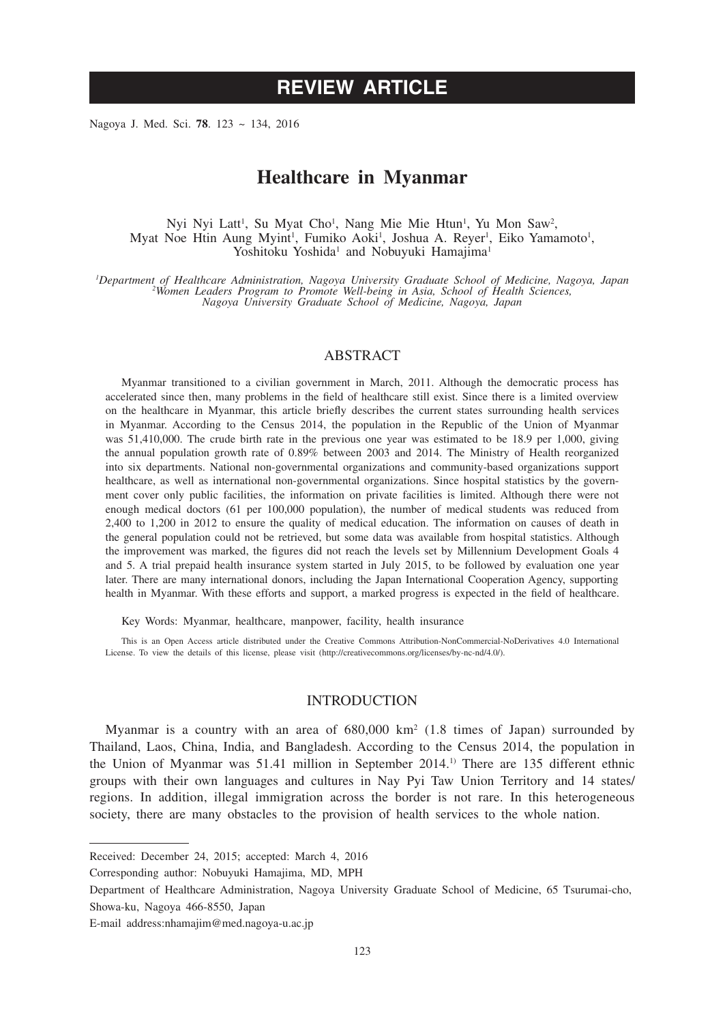# **REVIEW ARTICLE**

Nagoya J. Med. Sci. **78**. 123 ~ 134, 2016

## **Healthcare in Myanmar**

Nyi Nyi Latt<sup>1</sup>, Su Myat Cho<sup>1</sup>, Nang Mie Mie Htun<sup>1</sup>, Yu Mon Saw<sup>2</sup>, Myat Noe Htin Aung Myint<sup>1</sup>, Fumiko Aoki<sup>1</sup>, Joshua A. Reyer<sup>1</sup>, Eiko Yamamoto<sup>1</sup>, Yoshitoku Yoshida<sup>1</sup> and Nobuyuki Hamajima<sup>1</sup>

*1 Department of Healthcare Administration, Nagoya University Graduate School of Medicine, Nagoya, Japan <sup>2</sup> Women Leaders Program to Promote Well-being in Asia, School of Health Sciences, Nagoya University Graduate School of Medicine, Nagoya, Japan*

#### ABSTRACT

Myanmar transitioned to a civilian government in March, 2011. Although the democratic process has accelerated since then, many problems in the field of healthcare still exist. Since there is a limited overview on the healthcare in Myanmar, this article briefly describes the current states surrounding health services in Myanmar. According to the Census 2014, the population in the Republic of the Union of Myanmar was 51,410,000. The crude birth rate in the previous one year was estimated to be 18.9 per 1,000, giving the annual population growth rate of 0.89% between 2003 and 2014. The Ministry of Health reorganized into six departments. National non-governmental organizations and community-based organizations support healthcare, as well as international non-governmental organizations. Since hospital statistics by the government cover only public facilities, the information on private facilities is limited. Although there were not enough medical doctors (61 per 100,000 population), the number of medical students was reduced from 2,400 to 1,200 in 2012 to ensure the quality of medical education. The information on causes of death in the general population could not be retrieved, but some data was available from hospital statistics. Although the improvement was marked, the figures did not reach the levels set by Millennium Development Goals 4 and 5. A trial prepaid health insurance system started in July 2015, to be followed by evaluation one year later. There are many international donors, including the Japan International Cooperation Agency, supporting health in Myanmar. With these efforts and support, a marked progress is expected in the field of healthcare.

Key Words: Myanmar, healthcare, manpower, facility, health insurance

This is an Open Access article distributed under the Creative Commons Attribution-NonCommercial-NoDerivatives 4.0 International License. To view the details of this license, please visit (http://creativecommons.org/licenses/by-nc-nd/4.0/).

#### **INTRODUCTION**

Myanmar is a country with an area of  $680,000 \text{ km}^2$  (1.8 times of Japan) surrounded by Thailand, Laos, China, India, and Bangladesh. According to the Census 2014, the population in the Union of Myanmar was 51.41 million in September 2014.1) There are 135 different ethnic groups with their own languages and cultures in Nay Pyi Taw Union Territory and 14 states/ regions. In addition, illegal immigration across the border is not rare. In this heterogeneous society, there are many obstacles to the provision of health services to the whole nation.

Received: December 24, 2015; accepted: March 4, 2016

Corresponding author: Nobuyuki Hamajima, MD, MPH

Department of Healthcare Administration, Nagoya University Graduate School of Medicine, 65 Tsurumai-cho, Showa-ku, Nagoya 466-8550, Japan

E-mail address:nhamajim@med.nagoya-u.ac.jp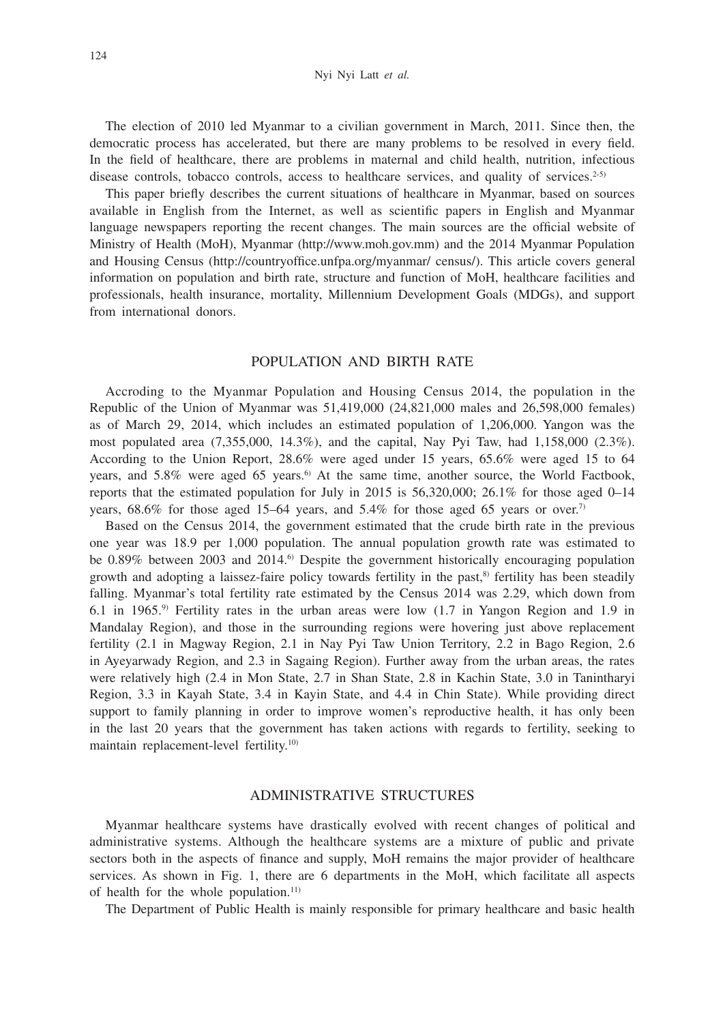The election of 2010 led Myanmar to a civilian government in March, 2011. Since then, the democratic process has accelerated, but there are many problems to be resolved in every field. In the field of healthcare, there are problems in maternal and child health, nutrition, infectious disease controls, tobacco controls, access to healthcare services, and quality of services.<sup>2-5)</sup>

This paper briefly describes the current situations of healthcare in Myanmar, based on sources available in English from the Internet, as well as scientific papers in English and Myanmar language newspapers reporting the recent changes. The main sources are the official website of Ministry of Health (MoH), Myanmar (http://www.moh.gov.mm) and the 2014 Myanmar Population and Housing Census (http://countryoffice.unfpa.org/myanmar/ census/). This article covers general information on population and birth rate, structure and function of MoH, healthcare facilities and professionals, health insurance, mortality, Millennium Development Goals (MDGs), and support from international donors.

## POPULATION AND BIRTH RATE

Accroding to the Myanmar Population and Housing Census 2014, the population in the Republic of the Union of Myanmar was 51,419,000 (24,821,000 males and 26,598,000 females) as of March 29, 2014, which includes an estimated population of 1,206,000. Yangon was the most populated area (7,355,000, 14.3%), and the capital, Nay Pyi Taw, had 1,158,000 (2.3%). According to the Union Report, 28.6% were aged under 15 years, 65.6% were aged 15 to 64 years, and  $5.8\%$  were aged 65 years.<sup>6)</sup> At the same time, another source, the World Factbook, reports that the estimated population for July in 2015 is 56,320,000; 26.1% for those aged 0–14 years,  $68.6\%$  for those aged 15–64 years, and 5.4% for those aged 65 years or over.<sup>7)</sup>

Based on the Census 2014, the government estimated that the crude birth rate in the previous one year was 18.9 per 1,000 population. The annual population growth rate was estimated to be 0.89% between 2003 and 2014.<sup>6</sup> Despite the government historically encouraging population growth and adopting a laissez-faire policy towards fertility in the past, $\frac{8}{3}$  fertility has been steadily falling. Myanmar's total fertility rate estimated by the Census 2014 was 2.29, which down from 6.1 in 1965.9) Fertility rates in the urban areas were low (1.7 in Yangon Region and 1.9 in Mandalay Region), and those in the surrounding regions were hovering just above replacement fertility (2.1 in Magway Region, 2.1 in Nay Pyi Taw Union Territory, 2.2 in Bago Region, 2.6 in Ayeyarwady Region, and 2.3 in Sagaing Region). Further away from the urban areas, the rates were relatively high (2.4 in Mon State, 2.7 in Shan State, 2.8 in Kachin State, 3.0 in Tanintharyi Region, 3.3 in Kayah State, 3.4 in Kayin State, and 4.4 in Chin State). While providing direct support to family planning in order to improve women's reproductive health, it has only been in the last 20 years that the government has taken actions with regards to fertility, seeking to maintain replacement-level fertility.<sup>10)</sup>

## ADMINISTRATIVE STRUCTURES

Myanmar healthcare systems have drastically evolved with recent changes of political and administrative systems. Although the healthcare systems are a mixture of public and private sectors both in the aspects of finance and supply, MoH remains the major provider of healthcare services. As shown in Fig. 1, there are 6 departments in the MoH, which facilitate all aspects of health for the whole population.<sup>11)</sup>

The Department of Public Health is mainly responsible for primary healthcare and basic health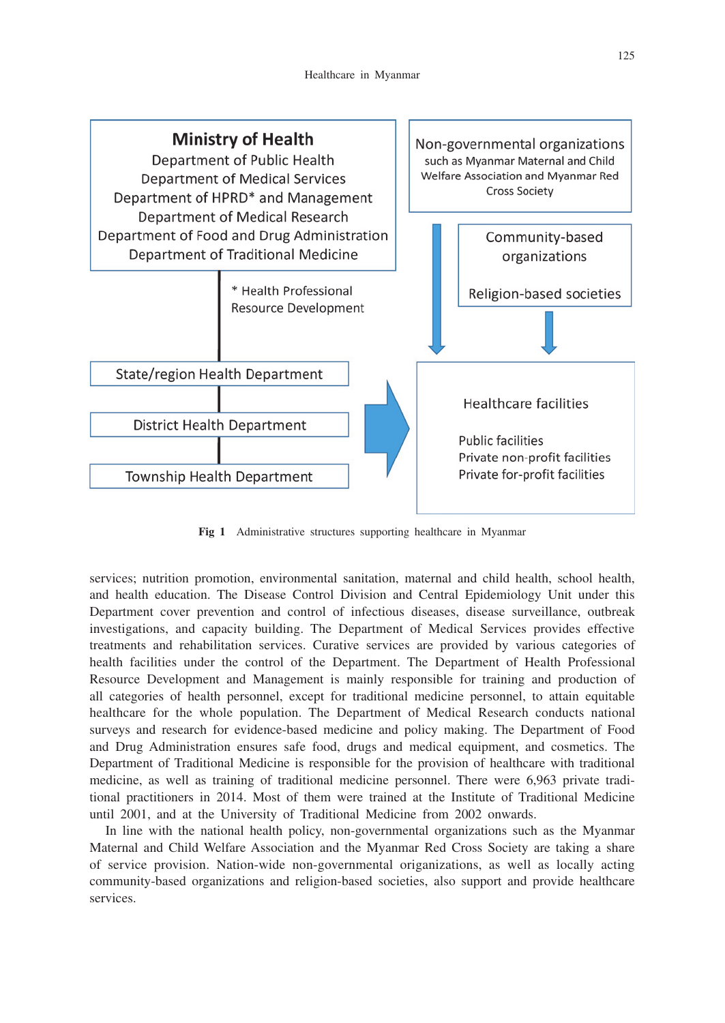

**Fig 1** Administrative structures supporting healthcare in Myanmar

services; nutrition promotion, environmental sanitation, maternal and child health, school health, and health education. The Disease Control Division and Central Epidemiology Unit under this Department cover prevention and control of infectious diseases, disease surveillance, outbreak investigations, and capacity building. The Department of Medical Services provides effective treatments and rehabilitation services. Curative services are provided by various categories of health facilities under the control of the Department. The Department of Health Professional Resource Development and Management is mainly responsible for training and production of all categories of health personnel, except for traditional medicine personnel, to attain equitable healthcare for the whole population. The Department of Medical Research conducts national surveys and research for evidence-based medicine and policy making. The Department of Food and Drug Administration ensures safe food, drugs and medical equipment, and cosmetics. The Department of Traditional Medicine is responsible for the provision of healthcare with traditional medicine, as well as training of traditional medicine personnel. There were 6,963 private traditional practitioners in 2014. Most of them were trained at the Institute of Traditional Medicine until 2001, and at the University of Traditional Medicine from 2002 onwards.

In line with the national health policy, non-governmental organizations such as the Myanmar Maternal and Child Welfare Association and the Myanmar Red Cross Society are taking a share of service provision. Nation-wide non-governmental origanizations, as well as locally acting community-based organizations and religion-based societies, also support and provide healthcare services.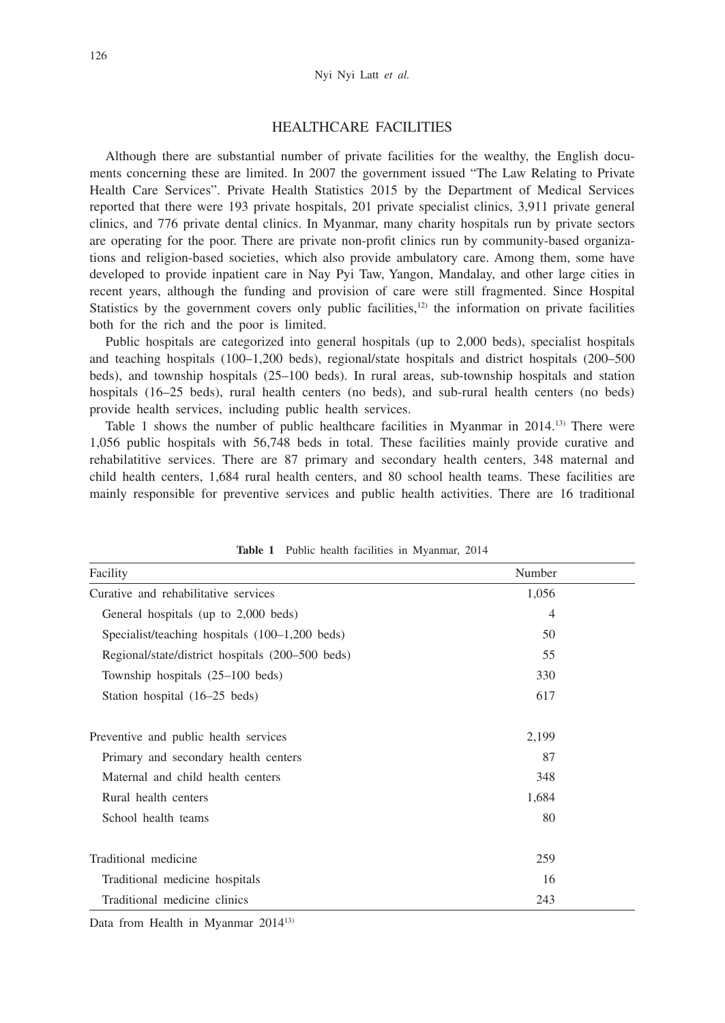## HEALTHCARE FACILITIES

Although there are substantial number of private facilities for the wealthy, the English documents concerning these are limited. In 2007 the government issued "The Law Relating to Private Health Care Services". Private Health Statistics 2015 by the Department of Medical Services reported that there were 193 private hospitals, 201 private specialist clinics, 3,911 private general clinics, and 776 private dental clinics. In Myanmar, many charity hospitals run by private sectors are operating for the poor. There are private non-profit clinics run by community-based organizations and religion-based societies, which also provide ambulatory care. Among them, some have developed to provide inpatient care in Nay Pyi Taw, Yangon, Mandalay, and other large cities in recent years, although the funding and provision of care were still fragmented. Since Hospital Statistics by the government covers only public facilities, $12$  the information on private facilities both for the rich and the poor is limited.

Public hospitals are categorized into general hospitals (up to 2,000 beds), specialist hospitals and teaching hospitals (100–1,200 beds), regional/state hospitals and district hospitals (200–500 beds), and township hospitals (25–100 beds). In rural areas, sub-township hospitals and station hospitals (16–25 beds), rural health centers (no beds), and sub-rural health centers (no beds) provide health services, including public health services.

Table 1 shows the number of public healthcare facilities in Myanmar in 2014.<sup>13</sup> There were 1,056 public hospitals with 56,748 beds in total. These facilities mainly provide curative and rehabilatitive services. There are 87 primary and secondary health centers, 348 maternal and child health centers, 1,684 rural health centers, and 80 school health teams. These facilities are mainly responsible for preventive services and public health activities. There are 16 traditional

| Facility                                         | Number         |  |  |
|--------------------------------------------------|----------------|--|--|
| Curative and rehabilitative services             | 1,056          |  |  |
| General hospitals (up to 2,000 beds)             | $\overline{4}$ |  |  |
| Specialist/teaching hospitals $(100-1,200$ beds) | 50             |  |  |
| Regional/state/district hospitals (200-500 beds) | 55             |  |  |
| Township hospitals (25–100 beds)                 | 330            |  |  |
| Station hospital (16–25 beds)                    | 617            |  |  |
| Preventive and public health services            | 2,199          |  |  |
| Primary and secondary health centers             | 87             |  |  |
| Maternal and child health centers                | 348            |  |  |
| Rural health centers                             | 1,684          |  |  |
| School health teams                              | 80             |  |  |
| Traditional medicine                             | 259            |  |  |
| Traditional medicine hospitals                   | 16             |  |  |
| Traditional medicine clinics                     | 243            |  |  |

**Table 1** Public health facilities in Myanmar, 2014

Data from Health in Myanmar 201413)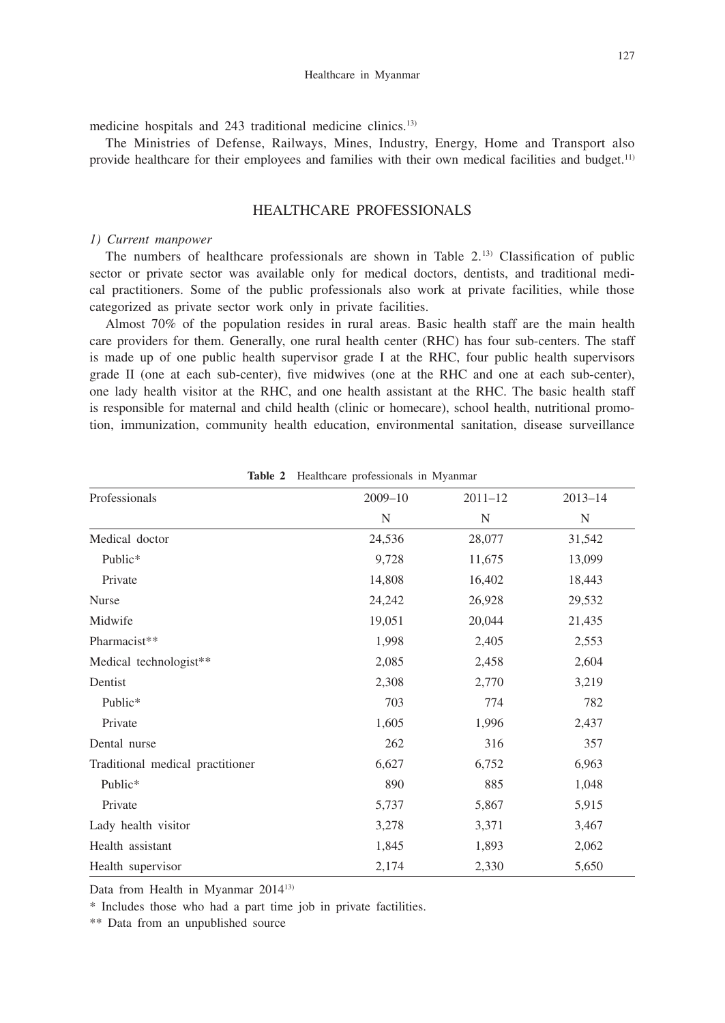medicine hospitals and 243 traditional medicine clinics.13)

The Ministries of Defense, Railways, Mines, Industry, Energy, Home and Transport also provide healthcare for their employees and families with their own medical facilities and budget.11)

## HEALTHCARE PROFESSIONALS

#### *1) Current manpower*

The numbers of healthcare professionals are shown in Table 2.13) Classification of public sector or private sector was available only for medical doctors, dentists, and traditional medical practitioners. Some of the public professionals also work at private facilities, while those categorized as private sector work only in private facilities.

Almost 70% of the population resides in rural areas. Basic health staff are the main health care providers for them. Generally, one rural health center (RHC) has four sub-centers. The staff is made up of one public health supervisor grade I at the RHC, four public health supervisors grade II (one at each sub-center), five midwives (one at the RHC and one at each sub-center), one lady health visitor at the RHC, and one health assistant at the RHC. The basic health staff is responsible for maternal and child health (clinic or homecare), school health, nutritional promotion, immunization, community health education, environmental sanitation, disease surveillance

| <i>riearcheare</i> proressionano in 112 januar |             |             |             |  |  |  |  |
|------------------------------------------------|-------------|-------------|-------------|--|--|--|--|
| Professionals                                  | $2009 - 10$ | $2011 - 12$ | $2013 - 14$ |  |  |  |  |
|                                                | $\mathbf N$ | N           | N           |  |  |  |  |
| Medical doctor                                 | 24,536      | 28,077      | 31,542      |  |  |  |  |
| Public*                                        | 9,728       | 11,675      | 13,099      |  |  |  |  |
| Private                                        | 14,808      | 16,402      | 18,443      |  |  |  |  |
| Nurse                                          | 24,242      | 26,928      | 29,532      |  |  |  |  |
| Midwife                                        | 19,051      | 20,044      | 21,435      |  |  |  |  |
| Pharmacist**                                   | 1,998       | 2,405       | 2,553       |  |  |  |  |
| Medical technologist**                         | 2,085       | 2,458       | 2,604       |  |  |  |  |
| Dentist                                        | 2,308       | 2,770       | 3,219       |  |  |  |  |
| Public*                                        | 703         | 774         | 782         |  |  |  |  |
| Private                                        | 1,605       | 1,996       | 2,437       |  |  |  |  |
| Dental nurse                                   | 262         | 316         | 357         |  |  |  |  |
| Traditional medical practitioner               | 6,627       | 6,752       | 6,963       |  |  |  |  |
| Public*                                        | 890         | 885         | 1,048       |  |  |  |  |
| Private                                        | 5,737       | 5,867       | 5,915       |  |  |  |  |
| Lady health visitor                            | 3,278       | 3,371       | 3,467       |  |  |  |  |
| Health assistant                               | 1,845       | 1,893       | 2,062       |  |  |  |  |
| Health supervisor                              | 2,174       | 2,330       | 5,650       |  |  |  |  |

**Table 2** Healthcare professionals in Myanmar

Data from Health in Myanmar 201413)

\* Includes those who had a part time job in private factilities.

\*\* Data from an unpublished source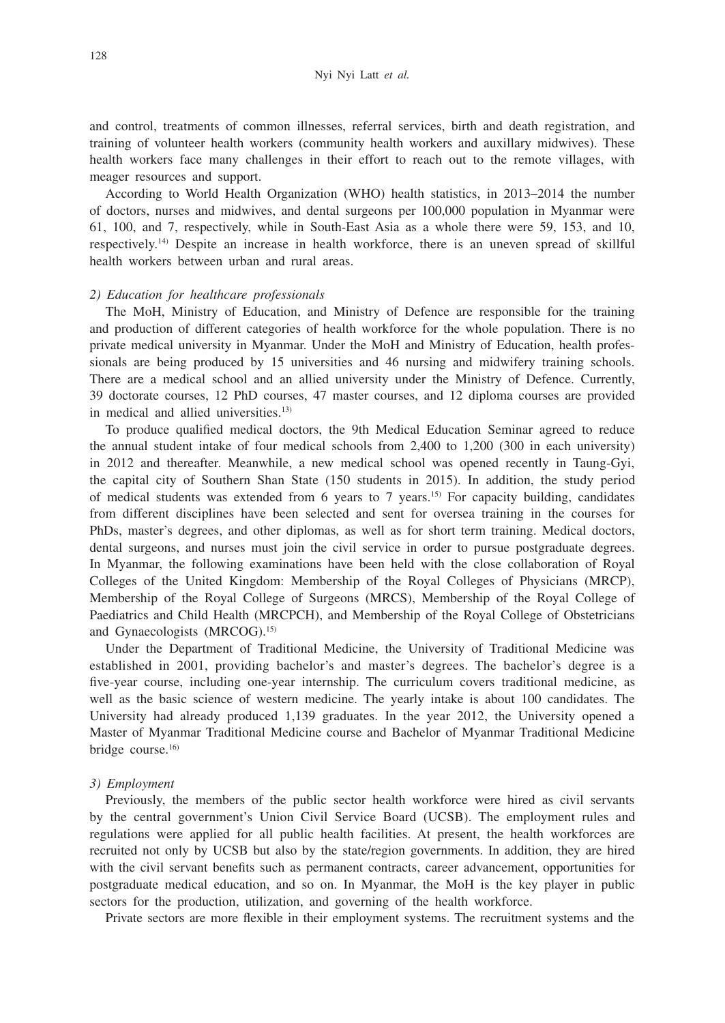and control, treatments of common illnesses, referral services, birth and death registration, and training of volunteer health workers (community health workers and auxillary midwives). These health workers face many challenges in their effort to reach out to the remote villages, with meager resources and support.

According to World Health Organization (WHO) health statistics, in 2013–2014 the number of doctors, nurses and midwives, and dental surgeons per 100,000 population in Myanmar were 61, 100, and 7, respectively, while in South-East Asia as a whole there were 59, 153, and 10, respectively.14) Despite an increase in health workforce, there is an uneven spread of skillful health workers between urban and rural areas.

#### *2) Education for healthcare professionals*

The MoH, Ministry of Education, and Ministry of Defence are responsible for the training and production of different categories of health workforce for the whole population. There is no private medical university in Myanmar. Under the MoH and Ministry of Education, health professionals are being produced by 15 universities and 46 nursing and midwifery training schools. There are a medical school and an allied university under the Ministry of Defence. Currently, 39 doctorate courses, 12 PhD courses, 47 master courses, and 12 diploma courses are provided in medical and allied universities.<sup>13)</sup>

To produce qualified medical doctors, the 9th Medical Education Seminar agreed to reduce the annual student intake of four medical schools from 2,400 to 1,200 (300 in each university) in 2012 and thereafter. Meanwhile, a new medical school was opened recently in Taung-Gyi, the capital city of Southern Shan State (150 students in 2015). In addition, the study period of medical students was extended from 6 years to 7 years.15) For capacity building, candidates from different disciplines have been selected and sent for oversea training in the courses for PhDs, master's degrees, and other diplomas, as well as for short term training. Medical doctors, dental surgeons, and nurses must join the civil service in order to pursue postgraduate degrees. In Myanmar, the following examinations have been held with the close collaboration of Royal Colleges of the United Kingdom: Membership of the Royal Colleges of Physicians (MRCP), Membership of the Royal College of Surgeons (MRCS), Membership of the Royal College of Paediatrics and Child Health (MRCPCH), and Membership of the Royal College of Obstetricians and Gynaecologists (MRCOG).15)

Under the Department of Traditional Medicine, the University of Traditional Medicine was established in 2001, providing bachelor's and master's degrees. The bachelor's degree is a five-year course, including one-year internship. The curriculum covers traditional medicine, as well as the basic science of western medicine. The yearly intake is about 100 candidates. The University had already produced 1,139 graduates. In the year 2012, the University opened a Master of Myanmar Traditional Medicine course and Bachelor of Myanmar Traditional Medicine bridge course.16)

#### *3) Employment*

Previously, the members of the public sector health workforce were hired as civil servants by the central government's Union Civil Service Board (UCSB). The employment rules and regulations were applied for all public health facilities. At present, the health workforces are recruited not only by UCSB but also by the state/region governments. In addition, they are hired with the civil servant benefits such as permanent contracts, career advancement, opportunities for postgraduate medical education, and so on. In Myanmar, the MoH is the key player in public sectors for the production, utilization, and governing of the health workforce.

Private sectors are more flexible in their employment systems. The recruitment systems and the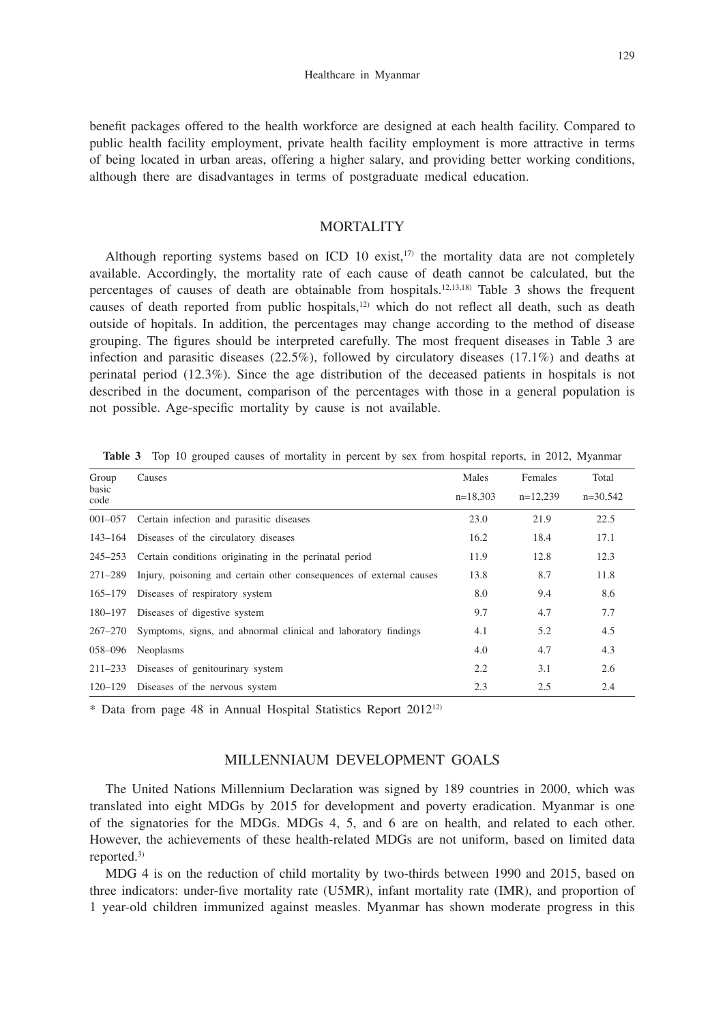benefit packages offered to the health workforce are designed at each health facility. Compared to public health facility employment, private health facility employment is more attractive in terms of being located in urban areas, offering a higher salary, and providing better working conditions, although there are disadvantages in terms of postgraduate medical education.

## **MORTALITY**

Although reporting systems based on ICD 10 exist, $17$  the mortality data are not completely available. Accordingly, the mortality rate of each cause of death cannot be calculated, but the percentages of causes of death are obtainable from hospitals.<sup>12,13,18</sup> Table 3 shows the frequent causes of death reported from public hospitals, $12$  which do not reflect all death, such as death outside of hopitals. In addition, the percentages may change according to the method of disease grouping. The figures should be interpreted carefully. The most frequent diseases in Table 3 are infection and parasitic diseases (22.5%), followed by circulatory diseases (17.1%) and deaths at perinatal period (12.3%). Since the age distribution of the deceased patients in hospitals is not described in the document, comparison of the percentages with those in a general population is not possible. Age-specific mortality by cause is not available.

| Group         | Causes                                                              | Males      | Females    | Total      |  |  |
|---------------|---------------------------------------------------------------------|------------|------------|------------|--|--|
| basic<br>code |                                                                     | $n=18,303$ | $n=12,239$ | $n=30,542$ |  |  |
| $001 - 057$   | Certain infection and parasitic diseases                            | 23.0       | 21.9       | 22.5       |  |  |
| 143–164       | Diseases of the circulatory diseases                                | 16.2       | 18.4       | 17.1       |  |  |
| $245 - 253$   | Certain conditions originating in the perinatal period              | 11.9       | 12.8       | 12.3       |  |  |
| 271-289       | Injury, poisoning and certain other consequences of external causes | 13.8       | 8.7        | 11.8       |  |  |
| $165 - 179$   | Diseases of respiratory system                                      | 8.0        | 9.4        | 8.6        |  |  |
| 180-197       | Diseases of digestive system                                        | 9.7        | 4.7        | 7.7        |  |  |
| 267–270       | Symptoms, signs, and abnormal clinical and laboratory findings      | 4.1        | 5.2        | 4.5        |  |  |
| 058-096       | <b>Neoplasms</b>                                                    | 4.0        | 4.7        | 4.3        |  |  |
| $211 - 233$   | Diseases of genitourinary system                                    | 2.2        | 3.1        | 2.6        |  |  |
| 120–129       | Diseases of the nervous system                                      | 2.3        | 2.5        | 2.4        |  |  |

Table 3 Top 10 grouped causes of mortality in percent by sex from hospital reports, in 2012, Myanmar

\* Data from page 48 in Annual Hospital Statistics Report 201212)

## MILLENNIAUM DEVELOPMENT GOALS

The United Nations Millennium Declaration was signed by 189 countries in 2000, which was translated into eight MDGs by 2015 for development and poverty eradication. Myanmar is one of the signatories for the MDGs. MDGs 4, 5, and 6 are on health, and related to each other. However, the achievements of these health-related MDGs are not uniform, based on limited data reported. $3)$ 

MDG 4 is on the reduction of child mortality by two-thirds between 1990 and 2015, based on three indicators: under-five mortality rate (U5MR), infant mortality rate (IMR), and proportion of 1 year-old children immunized against measles. Myanmar has shown moderate progress in this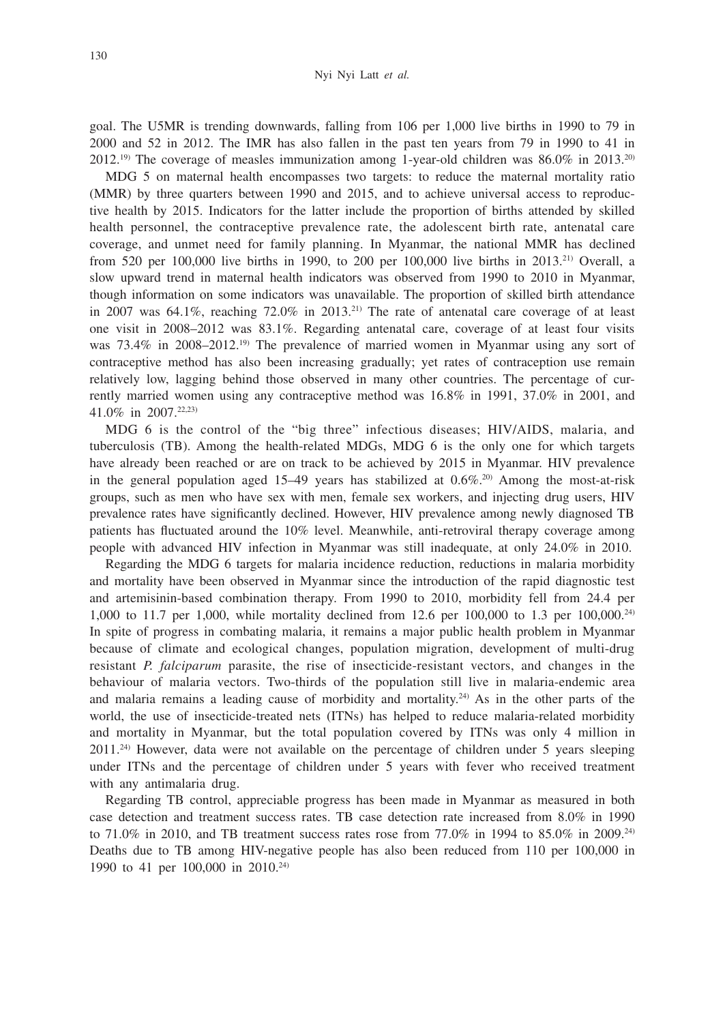goal. The U5MR is trending downwards, falling from 106 per 1,000 live births in 1990 to 79 in 2000 and 52 in 2012. The IMR has also fallen in the past ten years from 79 in 1990 to 41 in 2012.<sup>19)</sup> The coverage of measles immunization among 1-year-old children was  $86.0\%$  in 2013.<sup>20)</sup>

MDG 5 on maternal health encompasses two targets: to reduce the maternal mortality ratio (MMR) by three quarters between 1990 and 2015, and to achieve universal access to reproductive health by 2015. Indicators for the latter include the proportion of births attended by skilled health personnel, the contraceptive prevalence rate, the adolescent birth rate, antenatal care coverage, and unmet need for family planning. In Myanmar, the national MMR has declined from 520 per 100,000 live births in 1990, to 200 per 100,000 live births in 2013.21) Overall, a slow upward trend in maternal health indicators was observed from 1990 to 2010 in Myanmar, though information on some indicators was unavailable. The proportion of skilled birth attendance in 2007 was  $64.1\%$ , reaching  $72.0\%$  in 2013.<sup>21)</sup> The rate of antenatal care coverage of at least one visit in 2008–2012 was 83.1%. Regarding antenatal care, coverage of at least four visits was 73.4% in 2008–2012.19) The prevalence of married women in Myanmar using any sort of contraceptive method has also been increasing gradually; yet rates of contraception use remain relatively low, lagging behind those observed in many other countries. The percentage of currently married women using any contraceptive method was 16.8% in 1991, 37.0% in 2001, and 41.0% in 2007.22,23)

MDG 6 is the control of the "big three" infectious diseases; HIV/AIDS, malaria, and tuberculosis (TB). Among the health-related MDGs, MDG 6 is the only one for which targets have already been reached or are on track to be achieved by 2015 in Myanmar. HIV prevalence in the general population aged 15–49 years has stabilized at  $0.6\%$ <sup>20)</sup> Among the most-at-risk groups, such as men who have sex with men, female sex workers, and injecting drug users, HIV prevalence rates have significantly declined. However, HIV prevalence among newly diagnosed TB patients has fluctuated around the 10% level. Meanwhile, anti-retroviral therapy coverage among people with advanced HIV infection in Myanmar was still inadequate, at only 24.0% in 2010.

Regarding the MDG 6 targets for malaria incidence reduction, reductions in malaria morbidity and mortality have been observed in Myanmar since the introduction of the rapid diagnostic test and artemisinin-based combination therapy. From 1990 to 2010, morbidity fell from 24.4 per 1,000 to 11.7 per 1,000, while mortality declined from 12.6 per 100,000 to 1.3 per 100,000.24) In spite of progress in combating malaria, it remains a major public health problem in Myanmar because of climate and ecological changes, population migration, development of multi-drug resistant *P. falciparum* parasite, the rise of insecticide-resistant vectors, and changes in the behaviour of malaria vectors. Two-thirds of the population still live in malaria-endemic area and malaria remains a leading cause of morbidity and mortality.<sup>24)</sup> As in the other parts of the world, the use of insecticide-treated nets (ITNs) has helped to reduce malaria-related morbidity and mortality in Myanmar, but the total population covered by ITNs was only 4 million in 2011.24) However, data were not available on the percentage of children under 5 years sleeping under ITNs and the percentage of children under 5 years with fever who received treatment with any antimalaria drug.

Regarding TB control, appreciable progress has been made in Myanmar as measured in both case detection and treatment success rates. TB case detection rate increased from 8.0% in 1990 to 71.0% in 2010, and TB treatment success rates rose from 77.0% in 1994 to 85.0% in 2009.<sup>24)</sup> Deaths due to TB among HIV-negative people has also been reduced from 110 per 100,000 in 1990 to 41 per 100,000 in 2010.24)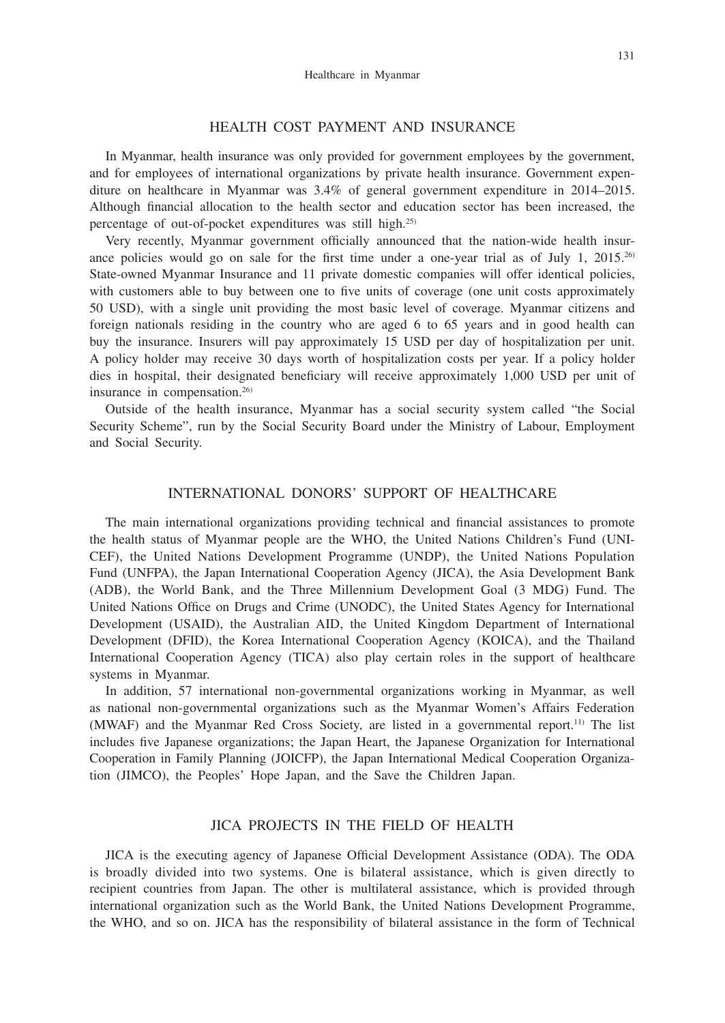#### 131

## HEALTH COST PAYMENT AND INSURANCE

In Myanmar, health insurance was only provided for government employees by the government, and for employees of international organizations by private health insurance. Government expenditure on healthcare in Myanmar was 3.4% of general government expenditure in 2014–2015. Although financial allocation to the health sector and education sector has been increased, the percentage of out-of-pocket expenditures was still high.25)

Very recently, Myanmar government officially announced that the nation-wide health insurance policies would go on sale for the first time under a one-year trial as of July 1, 2015.<sup>26)</sup> State-owned Myanmar Insurance and 11 private domestic companies will offer identical policies, with customers able to buy between one to five units of coverage (one unit costs approximately 50 USD), with a single unit providing the most basic level of coverage. Myanmar citizens and foreign nationals residing in the country who are aged 6 to 65 years and in good health can buy the insurance. Insurers will pay approximately 15 USD per day of hospitalization per unit. A policy holder may receive 30 days worth of hospitalization costs per year. If a policy holder dies in hospital, their designated beneficiary will receive approximately 1,000 USD per unit of insurance in compensation.<sup>26)</sup>

Outside of the health insurance, Myanmar has a social security system called "the Social Security Scheme", run by the Social Security Board under the Ministry of Labour, Employment and Social Security.

## INTERNATIONAL DONORS' SUPPORT OF HEALTHCARE

The main international organizations providing technical and financial assistances to promote the health status of Myanmar people are the WHO, the United Nations Children's Fund (UNI-CEF), the United Nations Development Programme (UNDP), the United Nations Population Fund (UNFPA), the Japan International Cooperation Agency (JICA), the Asia Development Bank (ADB), the World Bank, and the Three Millennium Development Goal (3 MDG) Fund. The United Nations Office on Drugs and Crime (UNODC), the United States Agency for International Development (USAID), the Australian AID, the United Kingdom Department of International Development (DFID), the Korea International Cooperation Agency (KOICA), and the Thailand International Cooperation Agency (TICA) also play certain roles in the support of healthcare systems in Myanmar.

In addition, 57 international non-governmental organizations working in Myanmar, as well as national non-governmental organizations such as the Myanmar Women's Affairs Federation (MWAF) and the Myanmar Red Cross Society, are listed in a governmental report.11) The list includes five Japanese organizations; the Japan Heart, the Japanese Organization for International Cooperation in Family Planning (JOICFP), the Japan International Medical Cooperation Organization (JIMCO), the Peoples' Hope Japan, and the Save the Children Japan.

## JICA PROJECTS IN THE FIELD OF HEALTH

JICA is the executing agency of Japanese Official Development Assistance (ODA). The ODA is broadly divided into two systems. One is bilateral assistance, which is given directly to recipient countries from Japan. The other is multilateral assistance, which is provided through international organization such as the World Bank, the United Nations Development Programme, the WHO, and so on. JICA has the responsibility of bilateral assistance in the form of Technical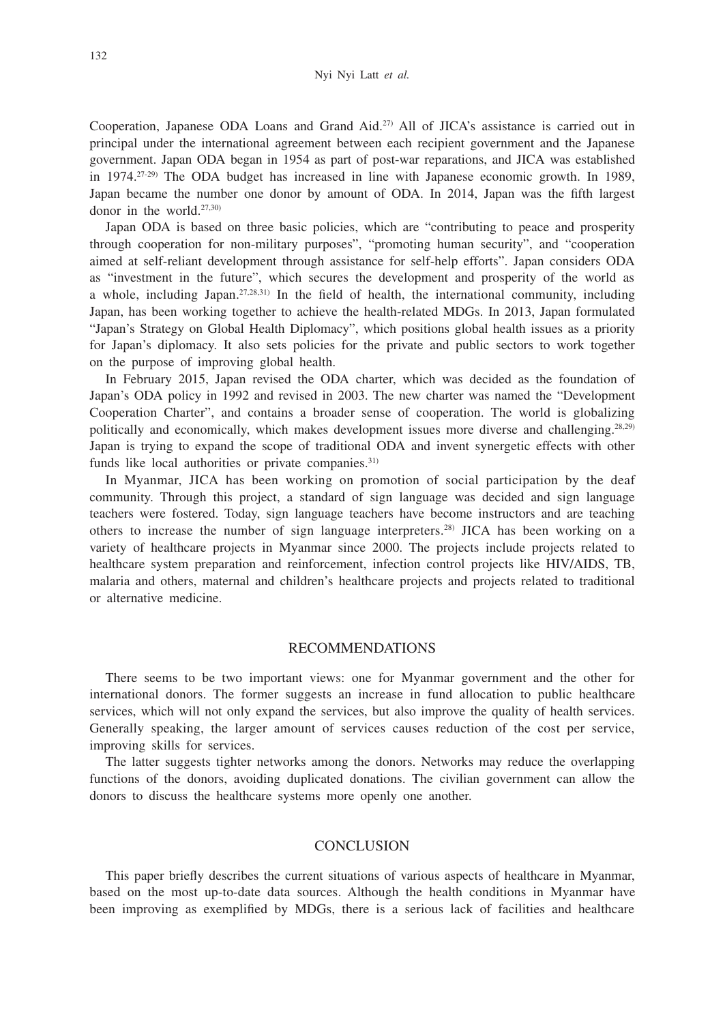Cooperation, Japanese ODA Loans and Grand Aid.27) All of JICA's assistance is carried out in principal under the international agreement between each recipient government and the Japanese government. Japan ODA began in 1954 as part of post-war reparations, and JICA was established in 1974.27-29) The ODA budget has increased in line with Japanese economic growth. In 1989, Japan became the number one donor by amount of ODA. In 2014, Japan was the fifth largest donor in the world.27,30)

Japan ODA is based on three basic policies, which are "contributing to peace and prosperity through cooperation for non-military purposes", "promoting human security", and "cooperation aimed at self-reliant development through assistance for self-help efforts". Japan considers ODA as "investment in the future", which secures the development and prosperity of the world as a whole, including Japan.<sup>27,28,31)</sup> In the field of health, the international community, including Japan, has been working together to achieve the health-related MDGs. In 2013, Japan formulated "Japan's Strategy on Global Health Diplomacy", which positions global health issues as a priority for Japan's diplomacy. It also sets policies for the private and public sectors to work together on the purpose of improving global health.

In February 2015, Japan revised the ODA charter, which was decided as the foundation of Japan's ODA policy in 1992 and revised in 2003. The new charter was named the "Development Cooperation Charter", and contains a broader sense of cooperation. The world is globalizing politically and economically, which makes development issues more diverse and challenging.<sup>28,29)</sup> Japan is trying to expand the scope of traditional ODA and invent synergetic effects with other funds like local authorities or private companies.<sup>31)</sup>

In Myanmar, JICA has been working on promotion of social participation by the deaf community. Through this project, a standard of sign language was decided and sign language teachers were fostered. Today, sign language teachers have become instructors and are teaching others to increase the number of sign language interpreters.28) JICA has been working on a variety of healthcare projects in Myanmar since 2000. The projects include projects related to healthcare system preparation and reinforcement, infection control projects like HIV/AIDS, TB, malaria and others, maternal and children's healthcare projects and projects related to traditional or alternative medicine.

#### RECOMMENDATIONS

There seems to be two important views: one for Myanmar government and the other for international donors. The former suggests an increase in fund allocation to public healthcare services, which will not only expand the services, but also improve the quality of health services. Generally speaking, the larger amount of services causes reduction of the cost per service, improving skills for services.

The latter suggests tighter networks among the donors. Networks may reduce the overlapping functions of the donors, avoiding duplicated donations. The civilian government can allow the donors to discuss the healthcare systems more openly one another.

#### **CONCLUSION**

This paper briefly describes the current situations of various aspects of healthcare in Myanmar, based on the most up-to-date data sources. Although the health conditions in Myanmar have been improving as exemplified by MDGs, there is a serious lack of facilities and healthcare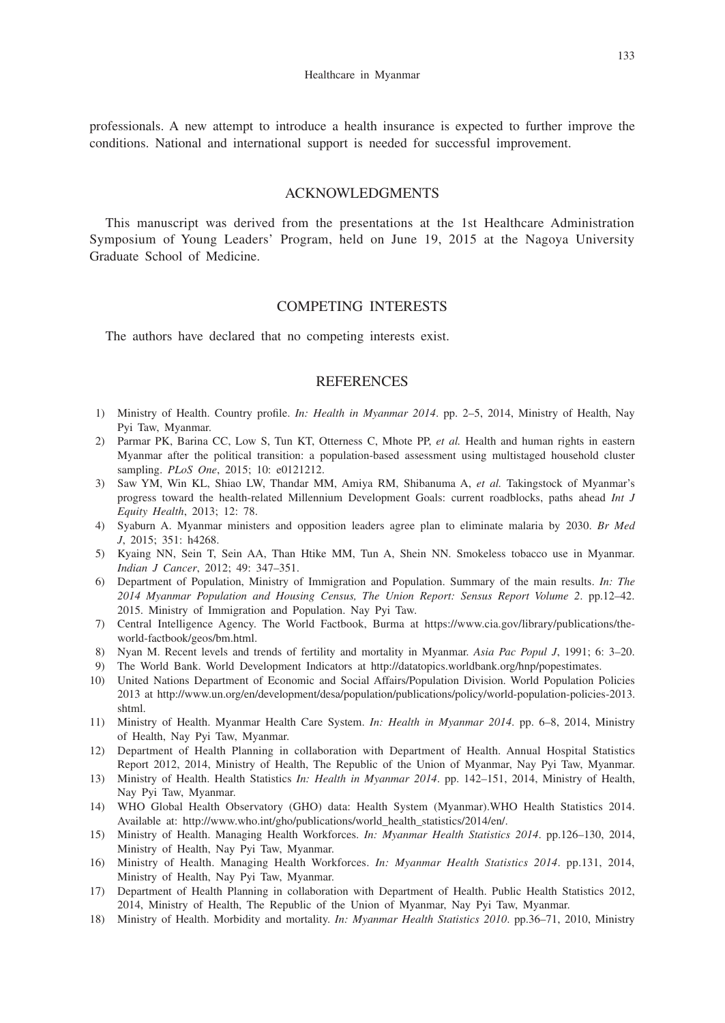professionals. A new attempt to introduce a health insurance is expected to further improve the conditions. National and international support is needed for successful improvement.

## ACKNOWLEDGMENTS

This manuscript was derived from the presentations at the 1st Healthcare Administration Symposium of Young Leaders' Program, held on June 19, 2015 at the Nagoya University Graduate School of Medicine.

## COMPETING INTERESTS

The authors have declared that no competing interests exist.

## **REFERENCES**

- 1) Ministry of Health. Country profile. *In: Health in Myanmar 2014*. pp. 2–5, 2014, Ministry of Health, Nay Pyi Taw, Myanmar.
- 2) Parmar PK, Barina CC, Low S, Tun KT, Otterness C, Mhote PP, *et al.* Health and human rights in eastern Myanmar after the political transition: a population-based assessment using multistaged household cluster sampling. *PLoS One*, 2015; 10: e0121212.
- 3) Saw YM, Win KL, Shiao LW, Thandar MM, Amiya RM, Shibanuma A, *et al.* Takingstock of Myanmar's progress toward the health-related Millennium Development Goals: current roadblocks, paths ahead *Int J Equity Health*, 2013; 12: 78.
- 4) Syaburn A. Myanmar ministers and opposition leaders agree plan to eliminate malaria by 2030. *Br Med J*, 2015; 351: h4268.
- 5) Kyaing NN, Sein T, Sein AA, Than Htike MM, Tun A, Shein NN. Smokeless tobacco use in Myanmar. *Indian J Cancer*, 2012; 49: 347–351.
- 6) Department of Population, Ministry of Immigration and Population. Summary of the main results. *In: The 2014 Myanmar Population and Housing Census, The Union Report: Sensus Report Volume 2*. pp.12–42. 2015. Ministry of Immigration and Population. Nay Pyi Taw.
- 7) Central Intelligence Agency. The World Factbook, Burma at https://www.cia.gov/library/publications/theworld-factbook/geos/bm.html.
- 8) Nyan M. Recent levels and trends of fertility and mortality in Myanmar. *Asia Pac Popul J*, 1991; 6: 3–20.
- 9) The World Bank. World Development Indicators at http://datatopics.worldbank.org/hnp/popestimates.
- 10) United Nations Department of Economic and Social Affairs/Population Division. World Population Policies 2013 at http://www.un.org/en/development/desa/population/publications/policy/world-population-policies-2013. shtml.
- 11) Ministry of Health. Myanmar Health Care System. *In: Health in Myanmar 2014*. pp. 6–8, 2014, Ministry of Health, Nay Pyi Taw, Myanmar.
- 12) Department of Health Planning in collaboration with Department of Health. Annual Hospital Statistics Report 2012, 2014, Ministry of Health, The Republic of the Union of Myanmar, Nay Pyi Taw, Myanmar.
- 13) Ministry of Health. Health Statistics *In: Health in Myanmar 2014*. pp. 142–151, 2014, Ministry of Health, Nay Pyi Taw, Myanmar.
- 14) WHO Global Health Observatory (GHO) data: Health System (Myanmar).WHO Health Statistics 2014. Available at: http://www.who.int/gho/publications/world\_health\_statistics/2014/en/.
- 15) Ministry of Health. Managing Health Workforces. *In: Myanmar Health Statistics 2014*. pp.126–130, 2014, Ministry of Health, Nay Pyi Taw, Myanmar.
- 16) Ministry of Health. Managing Health Workforces. *In: Myanmar Health Statistics 2014*. pp.131, 2014, Ministry of Health, Nay Pyi Taw, Myanmar.
- 17) Department of Health Planning in collaboration with Department of Health. Public Health Statistics 2012, 2014, Ministry of Health, The Republic of the Union of Myanmar, Nay Pyi Taw, Myanmar.
- 18) Ministry of Health. Morbidity and mortality. *In: Myanmar Health Statistics 2010*. pp.36–71, 2010, Ministry